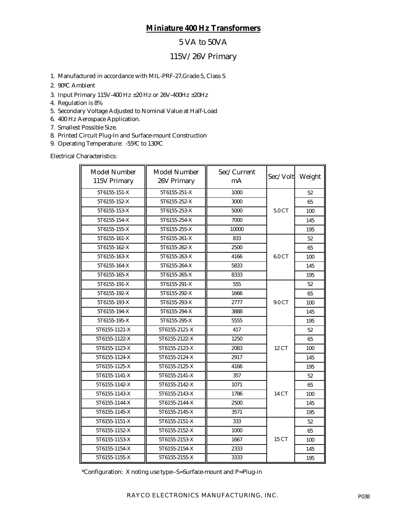# **Miniature 400 Hz Transformers**

## 5 VA to 50VA

## 115V/26V Primary

- 1. Manufactured in accordance with MIL-PRF-27,Grade 5, Class S
- 2. 90ºC Ambient
- 3. Input Primary 115V-400 Hz ±20 Hz or 26V-400Hz ±20Hz
- 4. Regulation is 8%
- 5. Secondary Voltage Adjusted to Nominal Value at Half-Load
- 6. 400 Hz Aerospace Application.
- 7. Smallest Possible Size.
- 8. Printed Circuit Plug-In and Surface-mount Construction
- 9. Operating Temperature: -55ºC to 130ºC

Electrical Characteristics:

| <b>Model Number</b><br>115V Primary | Model Number<br>26V Primary | Sec/Current<br>mA | Sec/Volt Weight |     |
|-------------------------------------|-----------------------------|-------------------|-----------------|-----|
| 5T6155-151-X                        | 5T6155-251-X                |                   | 52              |     |
| 5T6155-152-X                        | 5T6155-252-X                | 3000              |                 | 65  |
| 5T6155-153-X                        | 5T6155-253-X                | 5000              | 5.0 CT          | 100 |
| 5T6155-154-X                        | 5T6155-254-X                | 7000              |                 | 145 |
| 5T6155-155-X                        | 5T6155-255-X                | 10000             |                 | 195 |
| 5T6155-161-X                        | 5T6155-261-X                | 833               |                 | 52  |
| 5T6155-162-X                        | 5T6155-262-X                | 2500              |                 | 65  |
| 5T6155-163-X                        | 5T6155-263-X                | 4166              | 6.0 CT          | 100 |
| 5T6155-164-X                        | 5T6155-264-X                | 5833              |                 | 145 |
| 5T6155-165-X                        | 5T6155-265-X                | 8333              |                 | 195 |
| 5T6155-191-X                        | 5T6155-291-X                | 555               |                 | 52  |
| 5T6155-192-X                        | 5T6155-292-X                | 1666              |                 | 65  |
| 5T6155-193-X                        | 5T6155-293-X                | 2777              | 9.0 CT          | 100 |
| 5T6155-194-X                        | 5T6155-294-X                | 3888              |                 | 145 |
| 5T6155-195-X                        | 5T6155-295-X                | 5555              |                 | 195 |
| 5T6155-1121-X                       | 5T6155-2121-X               | 417               |                 | 52  |
| 5T6155-1122-X                       | 5T6155-2122-X               | 1250              |                 | 65  |
| 5T6155-1123-X                       | 5T6155-2123-X               | 2083              | 12 CT           | 100 |
| 5T6155-1124-X                       | 5T6155-2124-X               | 2917              |                 | 145 |
| 5T6155-1125-X                       | 5T6155-2125-X               | 4166              |                 | 195 |
| 5T6155-1141-X                       | 5T6155-2141-X               | 357               |                 | 52  |
| 5T6155-1142-X                       | 5T6155-2142-X               | 1071              |                 | 65  |
| 5T6155-1143-X                       | 5T6155-2143-X               | 1786              | 14 CT           | 100 |
| 5T6155-1144-X                       | 5T6155-2144-X               | 2500              |                 | 145 |
| 5T6155-1145-X                       | 5T6155-2145-X               | 3571              |                 | 195 |
| 5T6155-1151-X                       | 5T6155-2151-X               | 333               |                 | 52  |
| 5T6155-1152-X                       | 5T6155-2152-X               | 1000              |                 | 65  |
| 5T6155-1153-X                       | 5T6155-2153-X               | 1667              | 15 CT           | 100 |
| 5T6155-1154-X                       | 5T6155-2154-X               | 2333              |                 | 145 |
| 5T6155-1155-X                       | 5T6155-2155-X               | 3333              |                 | 195 |

\*Configuration: X noting use type--S=Surface-mount and P=Plug-in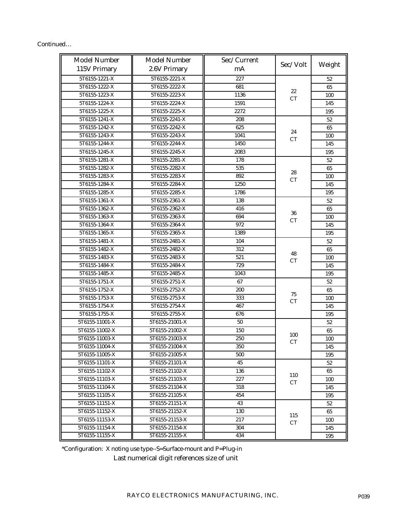| Continued |  |  |
|-----------|--|--|
|           |  |  |

| <b>Model Number</b>            | <b>Model Number</b>            | Sec/Current  | Sec/Volt  | Weight     |
|--------------------------------|--------------------------------|--------------|-----------|------------|
| 115V Primary                   | 2.6V Primary                   | mA           |           |            |
| 5T6155-1221-X                  | 5T6155-2221-X                  | 227          |           | 52         |
| 5T6155-1222-X                  | 5T6155-2222-X                  | 681          | 22        | 65         |
| 5T6155-1223-X                  | 5T6155-2223-X                  | 1136         | CT        | 100        |
| 5T6155-1224-X                  | 5T6155-2224-X                  | 1591         |           | 145        |
| 5T6155-1225-X                  | 5T6155-2225-X                  | 2272         |           | 195        |
| 5T6155-1241-X                  | 5T6155-2241-X<br>5T6155-2242-X | 208          |           | 52         |
| 5T6155-1242-X                  |                                | 625          | 24        | 65         |
| 5T6155-1243-X                  | 5T6155-2243-X                  | 1041         | CT        | 100        |
| 5T6155-1244-X                  | 5T6155-2244-X                  | 1450         |           | 145        |
| 5T6155-1245-X                  | 5T6155-2245-X                  | 2083         |           | 195        |
| 5T6155-1281-X                  | 5T6155-2281-X                  | 178          |           | 52         |
| 5T6155-1282-X                  | 5T6155-2282-X                  | 535          | 28        | 65         |
| 5T6155-1283-X                  | 5T6155-2283-X                  | 892          | <b>CT</b> | 100        |
| 5T6155-1284-X                  | 5T6155-2284-X<br>5T6155-2285-X | 1250<br>1786 |           | 145        |
| 5T6155-1285-X                  |                                |              |           | 195        |
| 5T6155-1361-X                  | 5T6155-2361-X                  | 138          |           | 52         |
| 5T6155-1362-X<br>5T6155-1363-X | 5T6155-2362-X<br>5T6155-2363-X | 416<br>694   | 36        | 65         |
| 5T6155-1364-X                  | 5T6155-2364-X                  | 972          | CT        | 100<br>145 |
| 5T6155-1365-X                  | 5T6155-2365-X                  | 1389         |           |            |
| 5T6155-1481-X                  | 5T6155-2481-X                  | 104          |           | 195        |
| 5T6155-1482-X                  | 5T6155-2482-X                  | 312          |           | 52         |
| 5T6155-1483-X                  | 5T6155-2483-X                  | 521          | 48        | 65         |
| 5T6155-1484-X                  | 5T6155-2484-X                  | 729          | CT        | 100<br>145 |
| 5T6155-1485-X                  | 5T6155-2485-X                  | 1043         |           | 195        |
| 5T6155-1751-X                  | 5T6155-2751-X                  | 67           |           | 52         |
| 5T6155-1752-X                  | 5T6155-2752-X                  | 200          |           | 65         |
| 5T6155-1753-X                  | 5T6155-2753-X                  | 333          | $75\,$    | 100        |
| 5T6155-1754-X                  | 5T6155-2754-X                  | 467          | <b>CT</b> | 145        |
| 5T6155-1755-X                  | 5T6155-2755-X                  | 676          |           | 195        |
| 5T6155-11001-X                 | 5T6155-21001-X                 | 50           |           | 52         |
| 5T6155-11002-X                 | 5T6155-21002-X                 | 150          |           | 65         |
| 5T6155-11003-X                 | 5T6155-21003-X                 | 250          | 100       | 100        |
| 5T6155-11004-X                 | 5T6155-21004-X                 | 350          | <b>CT</b> | 145        |
| 5T6155-11005-X                 | 5T6155-21005-X                 | 500          |           | 195        |
| 5T6155-11101-X                 | 5T6155-21101-X                 | 45           |           | 52         |
| 5T6155-11102-X                 | 5T6155-21102-X                 | 136          |           | 65         |
| 5T6155-11103-X                 | 5T6155-21103-X                 | 227          | 110       | 100        |
| 5T6155-11104-X                 | 5T6155-21104-X                 | 318          | CT        | 145        |
| 5T6155-11105-X                 | 5T6155-21105-X                 | 454          |           | 195        |
| 5T6155-11151-X                 | 5T6155-21151-X                 | 43           |           | 52         |
| 5T6155-11152-X                 | 5T6155-21152-X                 | 130          |           | 65         |
| 5T6155-11153-X                 | 5T6155-21153-X                 | 217          | 115<br>CT | 100        |
| 5T6155-11154-X                 | 5T6155-21154-X                 | 304          |           | 145        |
| 5T6155-11155-X                 | 5T6155-21155-X                 | 434          |           | 195        |

\*Configuration: X noting use type--S=Surface-mount and P=Plug-in

Last numerical digit references size of unit